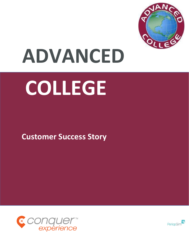

# **ADVANCED**

# **COLLEGE**

 **Customer Success Story**



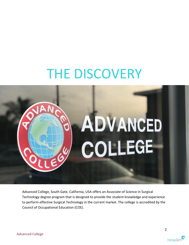### THE DISCOVERY



Advanced College, South Gate, California, USA offers an Associate of Science in Surgical Technology degree program that is designed to provide the student knowledge and experience to perform effective Surgical Technology in the current market. The college is accredited by the Council of Occupational Education (COE).

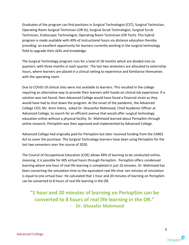Graduates of the program can find positions in Surgical Technologist (CST), Surgical Technician, Operating Room Surgical Technician (OR St), Surgical Scrub Technologist, Surgical Scrub Technician, Endoscopic Technologist, Operating Room Technician (OR Tech). This hybrid program is made available with 49% of instructional hours via distance education thereby providing an excellent opportunity for learners currently working in the surgical technology field to upgrade their skills and knowledge.

The Surgical Technology program runs for a total of 18 months which are divided into six quarters, with three months in each quarter. The last two semesters are allocated to externship hours, where learners are placed in a clinical setting to experience and familiarize themselves with the operating room.

Due to COVID-19 clinical sites were not available to learners. This resulted in the college requiring an alternative way to provide their learners with hands-on clinical lab experience. If a solution was not found, then Advanced College would have faced a financial strain as they would have had to shut down the program. At the onset of the pandemic, the Advanced College CEO, Mr. Amin Vohra, asked Dr. Ghazanfar Mahmood, Chief Academic Officer at Advanced College, to search for an efficient avenue that would offer surgical technology education online without a physical facility. Dr. Mahmood learned about PeriopSim through online research. PeriopSim was then approved and implemented by Advanced College.

Advanced College had originally paid for PeriopSim but later received funding from the CARES Act to cover the purchase. The Surgical Technology learners have been using PeriopSim for the last two semesters over the course of 2020.

The Council of Occupational Education (COE) allows 49% of learning to be conducted online, meaning, it is possible for 405 virtual hours through PeriopSim. PeriopSim offers condensed learning where one hour of real life learning is completed in just 10 minutes. Dr. Mahmood has been converting the simulation time to the equivalent real life time: ten minutes of simulation is equal to one virtual hour. He calculated that 1 hour and 20 minutes of learning on PeriopSim can be converted to 8 hours of real life learning in the OR.

#### **"1 hour and 20 minutes of learning on PeriopSim can be converted to 8 hours of real life learning in the OR."** - **Dr. Ghazafar Mahmood**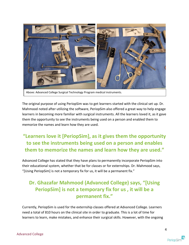

The original purpose of using PeriopSim was to get learners started with the clinical set up. Dr. Mahmood noted after utilizing the software, PeriopSim also offered a great way to help engage learners in becoming more familiar with surgical instruments. All the learners loved it, as it gave them the opportunity to see the instruments being used on a person and enabled them to memorize the names and learn how they are used.

### **"Learners love it [PeriopSim], as it gives them the opportunity to see the instruments being used on a person and enables them to memorize the names and learn how they are used."**

Advanced College has stated that they have plans to permanently incorporate PeriopSim into their educational system, whether that be for classes or for externships. Dr. Mahmood says, "[Using PeriopSim] is not a temporary fix for us, it will be a permanent fix."

#### **Dr. Ghazafar Mahmood (Advanced College) says, "[Using PeriopSim] is not a temporary fix for us , it will be a permanent fix."**

Currently, PeriopSim is used for the externship classes offered at Advanced College. Learners need a total of 810 hours on the clinical site in order to graduate. This is a lot of time for learners to learn, make mistakes, and enhance their surgical skills. However, with the ongoing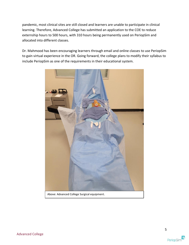pandemic, most clinical sites are still closed and learners are unable to participate in clinical learning. Therefore, Advanced College has submitted an application to the COE to reduce externship hours to 500 hours, with 310 hours being permanently used on PeriopSim and allocated into different classes.

Dr. Mahmood has been encouraging learners through email and online classes to use PeriopSim to gain virtual experience in the OR. Going forward, the college plans to modify their syllabus to include PeriopSim as one of the requirements in their educational system.

![](_page_4_Picture_2.jpeg)

Above: Advanced College Surgical equipment.

![](_page_4_Picture_6.jpeg)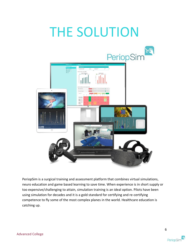## THE SOLUTION

![](_page_5_Picture_1.jpeg)

PeriopSim is a surgical training and assessment platform that combines virtual simulations, neuro education and game based learning to save time. When experience is in short supply or too expensive/challenging to attain, simulation training is an ideal option. Pilots have been using simulation for decades and it is a gold standard for certifying and re-certifying competence to fly some of the most complex planes in the world. Healthcare education is catching up.

![](_page_5_Picture_5.jpeg)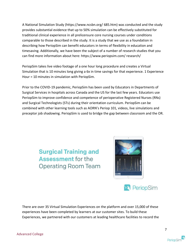A National Simulation Study (https://www.ncsbn.org/ 685.htm) was conducted and the study provides substantial evidence that up to 50% simulation can be effectively substituted for traditional clinical experience in all prelicensure core nursing courses under conditions comparable to those described in the study. It is a study that we use as a foundation in describing how PeriopSim can benefit educators in terms of flexibility in education and timesaving. Additionally, we have been the subject of a number of research studies that you can find more information about here: https://www.periopsim.com/ research/

PeriopSim takes live video footage of a one hour long procedure and creates a Virtual Simulation that is 10 minutes long giving a 6x in time savings for that experience. 1 Experience Hour = 10 minutes in simulation with PeriopSim.

Prior to the COVID-19 pandemic, PeriopSim has been used by Educators in Departments of Surgical Services in hospitals across Canada and the US for the last few years. Educators use PeriopSim to improve confidence and competence of perioperative Registered Nurses (RNs) and Surgical Technologists (STs) during their orientation curriculum. PeriopSim can be combined with other learning tools such as AORN's Periop 101, videos, live simulations and preceptor job shadowing. PeriopSim is used to bridge the gap between classroom and the OR.

> **Surgical Training and** Assessment for the **Operating Room Team**

![](_page_6_Picture_4.jpeg)

![](_page_6_Picture_5.jpeg)

There are over 35 Virtual Simulation Experiences on the platform and over 15,000 of these experiences have been completed by learners at our customer sites. To build these Experiences, we partnered with our customers at leading healthcare facilities to record the

![](_page_6_Picture_9.jpeg)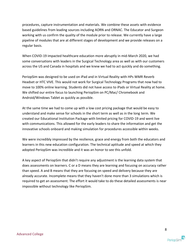procedures, capture instrumentation and materials. We combine these assets with evidence based guidelines from leading sources including AORN and ORNAC. The Educator and Surgeon working with us confirm the quality of the module prior to release. We currently have a large pipeline of modules that are at different stages of development and we provide releases on a regular basis.

When COVID-19 impacted healthcare education more abruptly in mid-March 2020, we had some conversations with leaders in the Surgical Technology area as well as with our customers across the US and Canada in hospitals and we knew we had to act quickly and do something.

PeriopSim was designed to be used on iPad and in Virtual Reality with HPs WMR Reverb Headset or HTC VIVE. This would not work for Surgical Technology Programs that now had to move to 100% online learning. Students did not have access to iPads or Virtual Reality at home. We shifted our entire focus to launching PeriopSim on PC/Mac/ Chromebook and Android/Windows Tablet as quickly as possible.

At the same time we had to come up with a low cost pricing package that would be easy to understand and make sense for schools in the short term as well as in the long term. We created our Educational Institution Package with limited pricing for COVID-19 and went live with communications. This allowed for the early leaders to share the information and get the innovative schools onboard and making simulation for procedures accessible within weeks.

We were incredibly impressed by the resilience, grace and energy from both the educators and learners in this new education configuration. The technical aptitude and speed at which they adopted PeriopSim was incredible and it was an honor to see this unfold.

A key aspect of PeriopSim that didn't require any adjustment is the learning data system that does assessments on learners. C or a D means they are learning and focusing on accuracy rather than speed. A and B means that they are focusing on speed and delivery because they are already accurate. Incomplete means that they haven't done more than 3 simulations which is required to get an assessment. The effort it would take to do these detailed assessments is near impossible without technology like PeriopSim.

![](_page_7_Picture_8.jpeg)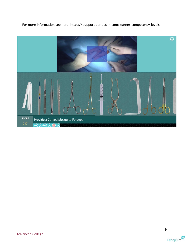For more information see here: https:// support.periopsim.com/learner-competency-levels

![](_page_8_Picture_1.jpeg)

![](_page_8_Picture_4.jpeg)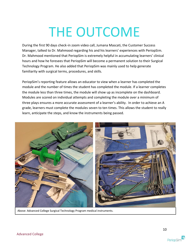## THE OUTCOME

During the first 90 days check-in zoom video call, Jumana Mascati, the Customer Success Manager, talked to Dr. Mahmood regarding his and his learners' experiences with PeriopSim. Dr. Mahmood mentioned that PeriopSim is extremely helpful in accumulating learners' clinical hours and how he foresees that PeriopSim will become a permanent solution to their Surgical Technology Program. He also added that PeriopSim was mainly used to help generate familiarity with surgical terms, procedures, and skills.

PeriopSim's reporting feature allows an educator to view when a learner has completed the module and the number of times the student has completed the module. If a learner completes the module less than three times, the module will show up as incomplete on the dashboard. Modules are scored on individual attempts and completing the module over a minimum of three plays ensures a more accurate assessment of a learner's ability. In order to achieve an A grade, learners must complete the modules seven to ten times. This allows the student to really learn, anticipate the steps, and know the instruments being passed.

![](_page_9_Picture_3.jpeg)

Above: Advanced College Surgical Technology Program medical instruments.

![](_page_9_Picture_7.jpeg)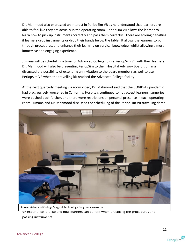Dr. Mahmood also expressed an interest in PeriopSim VR as he understood that learners are able to feel like they are actually in the operating room. PeriopSim VR allows the learner to learn how to pick up instruments correctly and pass them correctly. There are scoring penalties if learners drop instruments or drop their hands below the table. It allows the learners to go through procedures, and enhance their learning on surgical knowledge, whilst allowing a more immersive and engaging experience.

Jumana will be scheduling a time for Advanced College to use PeriopSim VR with their learners. Dr. Mahmood will also be presenting PeriopSim to their Hospital Advisory Board. Jumana discussed the possibility of extending an invitation to the board members as well to use PeriopSim VR when the travelling kit reached the Advanced College facility.

At the next quarterly meeting via zoom video, Dr. Mahmood said that the COVID-19 pandemic had progressively worsened in California. Hospitals continued to not accept learners, surgeries were pushed back further, and there were restrictions on personal presence in each operating room. Jumana and Dr. Mahmood discussed the scheduling of the PeriopSim VR travelling demo

![](_page_10_Picture_3.jpeg)

Above: Advanced College Surgical Technology Program classroom. VR experience felt like and how learners can benefit when practicing the procedures and passing instruments.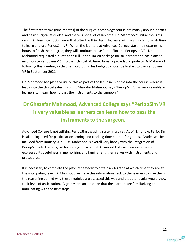The first three terms (nine months) of the surgical technology course are mainly about didactics and basic surgical etiquette, and there is not a lot of lab time. Dr. Mahmood's initial thoughts on curriculum integration were that after the third term, learners will have much more lab time to learn and use PeriopSim VR. When the learners at Advanced College start their externship hours to finish their degree, they will continue to use PeriopSim and PeriopSim VR. Dr. Mahmood requested a quote for a full PeriopSim VR package for 30 learners and has plans to incorporate PeriopSim VR into their clinical lab time. Jumana provided a quote to Dr Mahmood following this meeting so that he could put in his budget to potentially start to use PeriopSim VR in September 2021.

Dr. Mahmood has plans to utilize this as part of the lab, nine months into the course where it leads into the clinical externship. Dr. Ghazafar Mahmood says "PeriopSim VR is very valuable as learners can learn how to pass the instruments to the surgeon."

### **Dr Ghazafar Mahmood, Advanced College says "PeriopSim VR is very valuable as learners can learn how to pass the instruments to the surgeon."**

Advanced College is not utilizing PeriopSim's grading system just yet. As of right now, PeriopSim is still being used for participation scoring and tracking time but not for grades. Grades will be included from January 2021. Dr. Mahmood is overall very happy with the integration of PeriopSim into the Surgical Technology program at Advanced College. Learners have also expressed its usefulness in memorizing and familiarizing themselves with instruments and procedures.

It is necessary to complete the plays repeatedly to obtain an A grade at which time they are at the anticipating level, Dr Mahmood will take this information back to the learners to give them the reasoning behind why these modules are assessed this way and that the results would show their level of anticipation. A grades are an indicator that the learners are familiarizing and anticipating with the next steps.

![](_page_11_Picture_7.jpeg)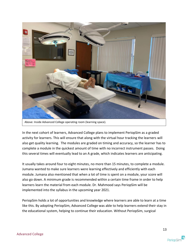![](_page_12_Picture_0.jpeg)

In the next cohort of learners, Advanced College plans to implement PeriopSim as a graded activity for learners. This will ensure that along with the virtual hour tracking the learners will also get quality learning. The modules are graded on timing and accuracy, so the learner has to complete a module in the quickest amount of time with no incorrect instrument passes. Doing this several times will eventually lead to an A grade, which indicates learners are anticipating.

It usually takes around four to eight minutes, no more than 15 minutes, to complete a module. Jumana wanted to make sure learners were learning effectively and efficiently with each module. Jumana also mentioned that when a lot of time is spent on a module, your score will also go down. A minimum grade is recommended within a certain time frame in order to help learners learn the material from each module. Dr. Mahmood says PeriopSim will be implemented into the syllabus in the upcoming year 2021.

PeriopSim holds a lot of opportunities and knowledge where learners are able to learn at a time like this. By adopting PeriopSim, Advanced College was able to help learners extend their stay in the educational system, helping to continue their education. Without PeriopSim, surgical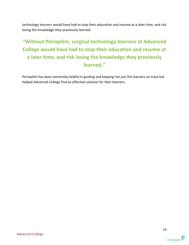technology learners would have had to stop their education and resume at a later time, and risk losing the knowledge they previously learned.

### **"Without PeriopSim, surgical technology learners at Advanced College would have had to stop their education and resume at a later time, and risk losing the knowledge they previously learned."**

PeriopSim has been extremely helpful in guiding and keeping not just the learners on track but helped Advanced College find an effective solution for their learners.

![](_page_13_Picture_5.jpeg)